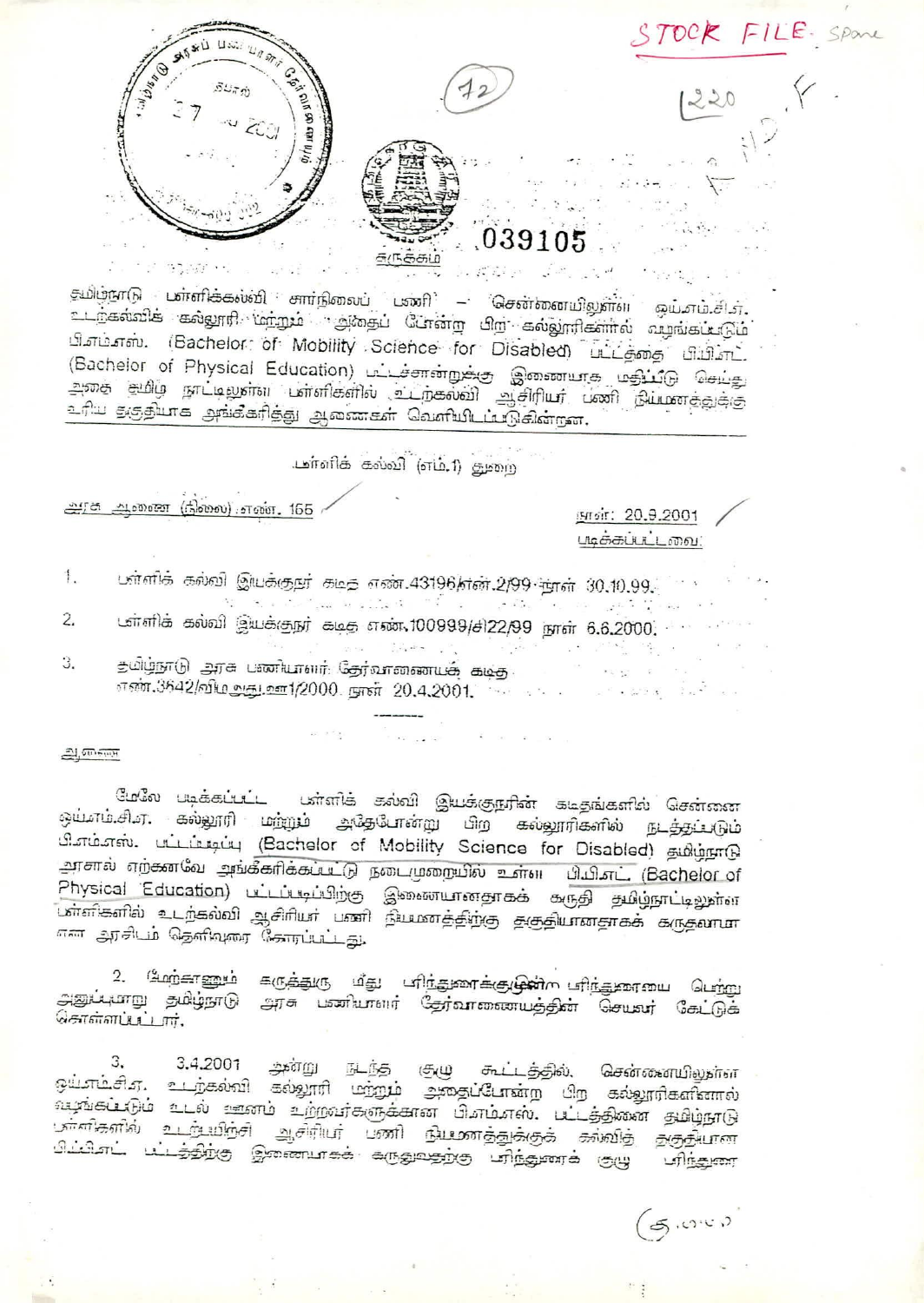

தமிழ்நாடு பள்ளிக்கல்வி சார்நிலைப் பணி – சென்னையிலுள்ள ஒய்சும்.சி.எ. உடந்கல்விக் கல்லூரி மற்றும் அதைப் போன்ற பிற கல்லூரிகளால் வழங்கப்படும் பிஎம்எஸ். (Bachelor: of Mobility Science for Disabled) பட்டத்தை பிபிஎட். (Bachelor of Physical Education) பட்டச்சான்றுக்கு இணையாக மதிப்டு செய்து .<br>அதை தமிழ் நாட்டிலுள்ள பள்ளிகளில் உடற்கல்வி ஆசிரியர் பணி நியமாத்துக்கு .<br>உரிய தகுதியாக அங்கீகரித்து ஆணைகள் வெளியிடப்படுகின்றன.

டுள்ளிக் கல்வி (எம்.1) துறை

அரசு அனை (நிலை) எண். 165

நாள்: 20.9.2001 படிக்கப்பட்டவை:

- பள்ளிக் கல்வி இயக்குறர் கடித எண்.43196/என்.2/99 நாள் 30.10.99.  $\mathbf{1}$ .
- டள்ளிக் கல்வி இயக்குநர் கடித எண் 100999/சி22/99 நாள் 6.6.2000. 2.
- З. எண்.3642/விமஅது.ஊ1/2000. நாள் 20.4.2001.

 $2,00000$ 

மேலே படிக்கப்பட்ட பள்ளிக் கல்வி இயக்குநரின் கடிதங்களில் சென்னை ஒய்சங்கிசு, கல்லூரி மற்றும் அதேபோன்று பிற கல்லூரிகளில் நடத்தப்படும் பி.எம்.எஸ். பட்டம் டிப்பு (Bachelor of Mobility Science for Disabled) தமிழ்நாடு அரசால் எற்கனவே அங்கீகரிக்கப்பட்டு நடைமுறையில் உள்ள பியி.எட். (Bachelor of Physical Education) பட்டப்படிப்பிற்கு இணையானதாகக் கருதி தமிழ்நாட்டிலுள்ள பாளிகளில் உடற்கல்வி ஆசிரியா பணி நியமாத்திற்கு தகுதியானதாகக் கருதலாமா என அரசிடம் தெளிவுரை கோரப்பட்டது.

.<br>Digwyddiadau

2. மேற்காணும் கருத்துரு மீது பிர்துணக்குழுன் பிர்துளையை பெற்று அனுப்பாறு தமிழ்நாடு அரசு பணியாளர் தேர்வாணையத்தின் செயவர் கேட்டுக் சொள்ளப்பட்டார்.

வமுங்கப்படும் உடல் ஊனம் உற்றவர்களுக்கான பி.எம்.எஸ். பட்டத்தினை தமிழ்நாடு ுர்ளிகளில் உடர்பயிற்சி ஆசிரியர் பணி நியணத்துக்குக் கல்லித் தகுதியான ிப்பிஎட் பட்டத்திற்கு இணையாகக் கருதுவதற்கு பரிந்துணக் குழு பரிந்துண

 $\sigma$  .  $\sigma$  .